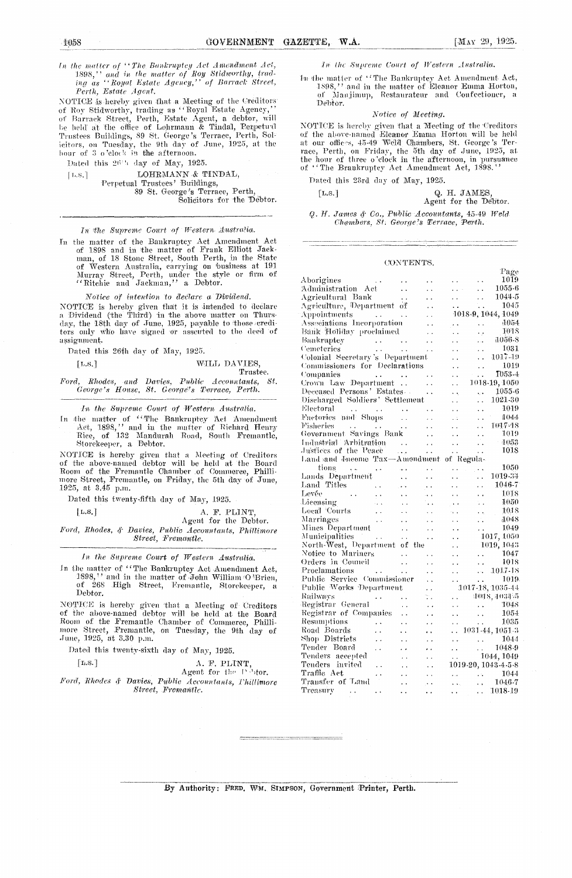$\label{thm:main} \begin{array}{ll} In \ \emph{the matter of ``The Bankruptey Act Amendment Act, } \\ 1898,'' \ \emph{and in the matter of Roy Stidworthy, } \\ ing \ \emph{as ``Royal Estate Agency,''} \ \emph{of Barrack Street,} \end{array}$ Perth, Estate Agent.

Ferth, Estate Agent.<br>
NOTICE is hereby given that a Meeting of the Creditors<br>
of Roy Stidworthy, trading as "Royal Estate Agency,"<br>
of Barrack Street, Perth, Estate Agent, a debtor, will<br>
be held at the office of Lohrmann

Dated this 26th day of May, 1925.

LOHRMANN & TINDAL.  $\lceil$ L.S.] Perpetual Trustees' Buildings, 89 St. George's Terrace, Perth,<br>Solicitors for the Debtor.

In the Supreme Court of Western Australia.

In the matter of the Bankruptcy Aet Amendment Act<br>of 1898 and in the matter of Frank Elliott Jack-<br>man, of 18 Stone Street, South Perth, in the State<br>of Western Australia, carrying on business at 191<br>Murray Street, Perth,

Notice of intention to declare a Dividend. NOTICE is hereby given that it is intended to declare a Dividend (the Third) in the above matter on Thursday, the 18th day of June, 1925, payable to those creditors only who have signed or assented to the deed of assignment.

Dated this 26th day of May, 1925.

| [L.S.] | WILL DAVIES, |
|--------|--------------|
|        | Trustee.     |

and Davies, Public Accountants, St. Ford, Rhodes, George's House, St. George's Terrace, Perth.

In the Supreme Court of Western Australia.

In the matter of "The Bankruptcy Act Amendment<br>Act, 1898," and in the matter of Richard Henry<br>Rice, of 132 Mandurah Road, South Fremantle, Storekeeper, a Debtor.

NOTICE is hereby given that a Meeting of Creditors<br>of the above-named debtor will be held at the Board<br>Room of the Fremantle Chamber of Commerce, Phillimore Street, Fremantle, on Friday, the 5th day of June, 1925, at 3.45 p.m.

Dated this twenty-fifth day of May, 1925.

 $[L, S]$ 

| L.S. ] |  | A. F. PLINT, |  |  |                       |  |                                               |
|--------|--|--------------|--|--|-----------------------|--|-----------------------------------------------|
|        |  |              |  |  | Agent for the Debtor. |  |                                               |
|        |  |              |  |  |                       |  | Rhodes & Davies Public Accountants Phillimore |

Ford,  $ies, \, \, \cdot$  . untants, Phillimore Street, Fremantle.

In the Supreme Court of Western Australia.

In the matter of "The Bankruptcy Act Amendment Act, 1898," and in the matter of John William O'Brien,<br>of 268 High Street, Fremantle, Storekeeper, a Debtor.

NOTICE is hereby given that a Meeting of Creditors<br>of the above-named debtor will be held at the Board<br>Room of the Fremantle Chamber of Commerce, Philli-<br>more Street, Fremantle, on Tuesday, the 9th day of<br>June, 1925, at 3.

Dated this twenty-sixth day of May, 1925.

 $\lceil$ L.S.]

A. F. PLINT,<br>Agent for the Pebots.

Ford, Rhodes & Davies, Public Accountants, Phillimore Street, Fremantle.

In the Supreme Court of Western Australia.

In the matter of "The Bankruptcy Act Amendment Act,<br>1898," and in the matter of Eleanor Emma Horton,<br>of Manjimup, Restaurateur and Confectioner, a Debtor.

### Notice of Meeting.

NOTICE is hereby given that a Meeting of the Creditors<br>of the above-named Element Emma Horton will be held<br>at our offices, 45-49 Weld Chambers, St. George's Ter-<br>race, Perth, on Friday, the 5th day of June, 1925, at<br>the ho

Dated this 23rd day of May, 1925.

 $[L, S, ]$ 

Q. H. JAMES Agent for the Debtor.

 $\mathbf{m}$ 

Q. H. James & Co., Public Accountants, 45-49 Weld Chambers, St. George's Terrace, Perth.

#### CONTENTS.

|                                                  |                        |                              |                                              | rage                                                                      |
|--------------------------------------------------|------------------------|------------------------------|----------------------------------------------|---------------------------------------------------------------------------|
| Aborigines<br>$\sim$ $\sim$                      |                        |                              |                                              | 1019<br>$\ddot{\phantom{0}}$                                              |
| Administration Act                               | $\bar{a}$              | $\ddot{\phantom{0}}$         | $\mathbf{L} \cdot \mathbf{L}$                | 1055-6<br>$\sim 10^{-1}$                                                  |
| Agricultural Bank                                | е,                     | . .                          | $\sim$                                       | 1044-5<br>$\mathcal{L}(\mathbf{x})$                                       |
| Agriculture, Department of                       |                        | $\ddot{\phantom{0}}$         | <b>College</b>                               | 1045<br>$\sim$ .                                                          |
| Appointments                                     |                        | $\ddot{\phantom{0}}$         |                                              | 1018-9, 1044, 1049                                                        |
| Associations Incorporation                       |                        | $\ddot{\phantom{0}}$         | $\sim$ $\sim$                                | $-0.054$<br>$\ddot{\phantom{a}}$ .                                        |
| Bank Holiday proclaimed                          |                        | $\ddot{\phantom{0}}$         | $\ddot{\phantom{0}}$                         | 1018<br>٠,                                                                |
| Bankruptcy                                       |                        | $\ddotsc$                    |                                              | 1056-8<br>.                                                               |
| معان المعاني.<br>معان المعاني.<br>Cemeteries     |                        | $\ddot{\phantom{0}}$         | $\ddot{\phantom{0}}$                         | 1031<br>$\ddot{\phantom{0}}$                                              |
| Colonial Secretary's Department                  |                        |                              | $\ddot{\phantom{0}}$                         | 1017-19<br>$\ddot{\phantom{a}}$                                           |
| Commissioners for Declarations                   |                        |                              | $\ddotsc$                                    | 1019<br>$\ddot{\phantom{a}}$                                              |
|                                                  |                        | $\sim$ $\sim$ $\sim$         | $\ddot{\phantom{0}}$                         | $T053 - 4$<br>$\ddot{\phantom{a}}$                                        |
| Companies<br>Crown Law Department                |                        | $\sim$ .                     | $\ddot{\phantom{0}}$                         | 1018-19, 1050                                                             |
| Deceased Persons' Estates                        |                        | $\sim 100$ km s $^{-1}$      | $\ddotsc$                                    | 1055-6<br>$\ddotsc$                                                       |
| Discharged Soldiers' Settlement                  |                        |                              | $\ddot{\phantom{0}}$                         | 1021-30<br>$\ddot{\phantom{0}}$                                           |
| Electoral                                        |                        | $\sim$ $\sim$                | $\ddot{\phantom{0}}$                         | 1019<br>$\ddot{\phantom{0}}$                                              |
| and Shops<br>Factories and Shops                 |                        | $\sim$ $\sim$                | у.                                           | 1044<br>$\ddot{\phantom{0}}$                                              |
| Fisheries<br>$\ddot{\phantom{1}}$ .              |                        |                              | $\sim$ $\sim$                                | 1017-18<br>$\ddot{\phantom{1}}$ .                                         |
| Government Savings Bank                          | $\sim$ $\sim$          | $\epsilon$ .<br>$\ddotsc$    |                                              | 1019<br>$\ddot{\phantom{0}}$                                              |
| Industrial Arbitration                           |                        |                              |                                              | $-4053\,$<br>$\mathcal{L}_{\mathcal{A}}$                                  |
| Justices of the Peace                            | $\sim 1.2\,$ k $\,$    | $\sim$ $\sim$<br>$\bar{a}$ . | $\ddot{\phantom{a}}$<br>$\ddot{\phantom{a}}$ | 1018<br>$\ddot{\phantom{a}}$                                              |
| Land and Jacome Tax-Amendment of Regula-         |                        |                              |                                              |                                                                           |
|                                                  |                        |                              |                                              | $-1050$                                                                   |
| tions                                            |                        | $\ddotsc$                    | $\sim 10^{-11}$ km s $^{-1}$                 | 1019-34                                                                   |
| Lands Department                                 | $\ddotsc$              | $\ddotsc$                    |                                              | $\ddot{\phantom{0}}$                                                      |
| Land Titles<br>Levée                             | $\sim$                 | $\sim$ $\sim$                | Н.                                           | 1046-7<br>$\sim$                                                          |
|                                                  | $\ddot{\phantom{a}}$   | $\sim$ $\sim$                | $\ddot{\phantom{a}}$                         | 1018<br>$\ddot{\phantom{0}}$                                              |
| Licensing<br>Licensing<br>Local Courts           | i.                     | ٠.                           | $\rightarrow$ $\rightarrow$                  | 1050<br>V.                                                                |
|                                                  | $\ddot{\phantom{0}}$   | $\ddot{\phantom{0}}$         | $\sim$ $\sim$                                | 1018<br>$\epsilon$ .                                                      |
| Marriages<br>$\sim$ .                            | $\ddot{\phantom{a}}$ . | . .                          | $\epsilon$ .                                 | 1048<br>сÙ.                                                               |
| Mines Department                                 | $\ddot{\phantom{a}}$   | . .                          | . .                                          | 1049<br>$\sim$                                                            |
| Municipalities                                   | $\sim$ $\sim$          | i.                           | Ω.                                           | 1017, 1050                                                                |
| North-West, Department of the                    |                        |                              | . .                                          | $-1019, 1043$                                                             |
| Notice to Mariners<br>Orders in Council          |                        | $\ddot{\phantom{a}}$         | $\ddot{\phantom{0}}$                         | 1047<br><b>Carl Corp.</b>                                                 |
|                                                  |                        | $\ddot{\phantom{0}}$         | . .                                          | 1018<br>$\sim 10^{-1}$                                                    |
| Proclamations                                    | $\ddot{\phantom{a}}$   | $\ddot{\phantom{a}}$         | $\ddot{\phantom{0}}$                         | $-1017-18$                                                                |
| Public Service Commissioner                      |                        | $\ddot{\phantom{a}}$         | $\ddot{\phantom{0}}$                         | 1019.<br>$\mathbf{1}$ , $\mathbf{1}$                                      |
| Public Works Department                          |                        | Н,                           |                                              | 1017-18, 1035-44                                                          |
| Railways<br><b>Carlos Contracto</b>              |                        | ÷.                           | i.                                           | === +09 S, 4034-5                                                         |
| Registrar General                                | $\ddot{\phantom{1}}$   | $\ddot{\phantom{0}}$         | i.                                           | $\frac{1048}{1054}$                                                       |
| Registrar of Companies                           | $\ddot{\phantom{0}}$   | . .                          | $\ddot{\phantom{0}}$                         | 1054<br>$\mathcal{L}(\mathbf{r})$                                         |
| Resumptions<br>$\sim$ $\sim$                     | $\ddot{\phantom{0}}$   | $\ddot{\phantom{0}}$         |                                              | $\sim 100$ km s $^{-1}$<br>1035                                           |
| Road Boards<br>$\ddot{\phantom{0}}$              | $\ddot{\phantom{0}}$   | . .                          | $\ddotsc$                                    | 1031-44, 1051-3                                                           |
| Shop Districts<br>$\ddot{\phantom{0}}$           |                        | $\ddot{\phantom{0}}$         | $\ddot{\phantom{a}}$                         | $\ldots$ 1044                                                             |
| Tender Board<br>$\ddot{\phantom{a}}$             |                        |                              | $\mathbf{r}$                                 | $1048-9$                                                                  |
| Tenders accepted                                 |                        | . .                          |                                              | $\ldots$ 1044, 1049                                                       |
| Tenders invited<br>Ϋ.                            |                        | $\ddot{\phantom{0}}$         |                                              | 1019-20, 1043-4-5-8                                                       |
| Traffic Act                                      | $\ddot{\phantom{a}}$   | $\ddot{\phantom{0}}$         |                                              |                                                                           |
| . .<br>Transfer of Land                          | $\ddot{\phantom{0}}$   | . .                          | $\epsilon$ , $\epsilon$                      | $\begin{array}{ccc} \cdot\cdot & 1044 \\ \cdot\cdot & 1046-7 \end{array}$ |
|                                                  | $\ddot{\phantom{0}}$   | $\ddotsc$                    | $\mathcal{L}(\mathbf{x}_n)$                  |                                                                           |
| Treasurv<br>$\epsilon$ .<br>$\ddot{\phantom{1}}$ | . .                    | μ.                           | <b>KIND OF</b>                               | 1018-19<br>$\epsilon$ .                                                   |

By Authority: FRED. WM. SIMPSON, Government Printer, Perth.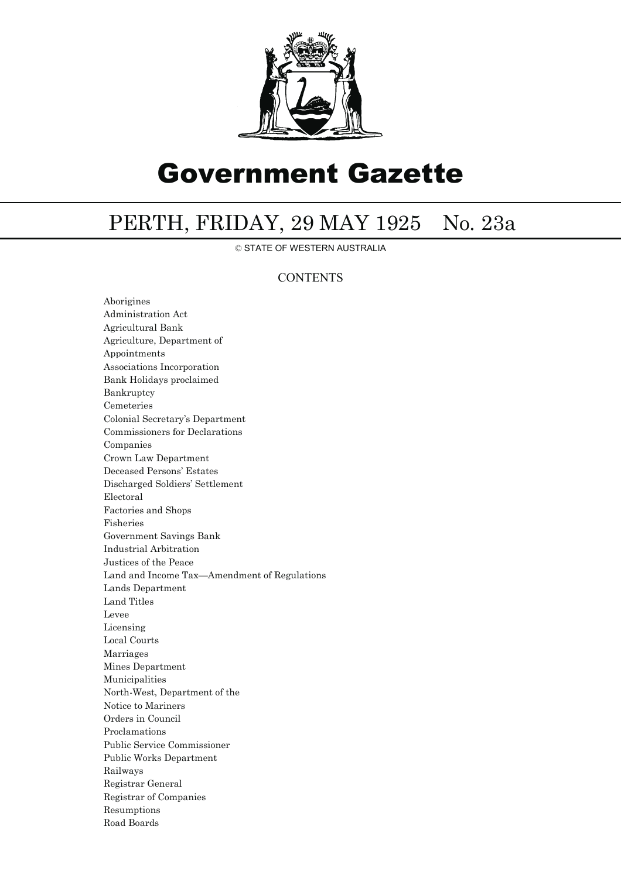

# Government Gazette

## PERTH, FRIDAY, 29 MAY 1925 No. 23a

© STATE OF WESTERN AUSTRALIA

### **CONTENTS**

Aborigines Administration Act Agricultural Bank Agriculture, Department of Appointments Associations Incorporation Bank Holidays proclaimed Bankruptcy Cemeteries Colonial Secretary's Department Commissioners for Declarations Companies Crown Law Department Deceased Persons' Estates Discharged Soldiers' Settlement Electoral Factories and Shops Fisheries Government Savings Bank Industrial Arbitration Justices of the Peace Land and Income Tax—Amendment of Regulations Lands Department Land Titles Levee Licensing Local Courts Marriages Mines Department Municipalities North-West, Department of the Notice to Mariners Orders in Council Proclamations Public Service Commissioner Public Works Department Railways Registrar General Registrar of Companies Resumptions Road Boards